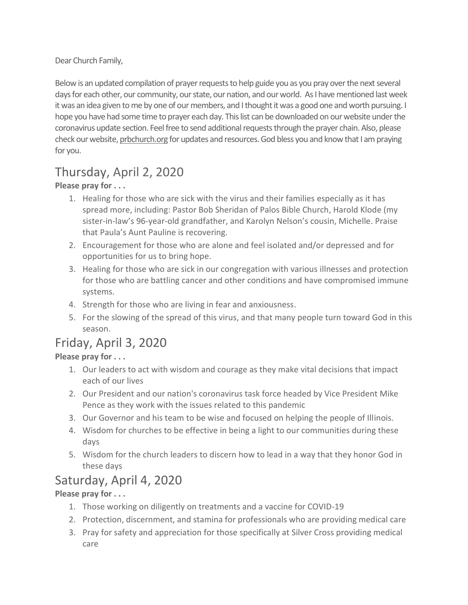Dear Church Family,

Below is an updated compilation of prayer requests to help guide you as you pray over the next several daysfor each other, our community, our state, our nation, and our world. As I have mentioned last week it was an idea given to me by one of our members, and I thought it was a good one and worth pursuing. I hope you have had some time to prayer each day. This list can be downloaded on our website under the coronavirus update section. Feel free to send additional requeststhrough the prayer chain. Also, please check our website, [prbchurch.org](http://prbchurch.org/) for updates and resources. God bless you and know that I am praying for you.

# Thursday, April 2, 2020

**Please pray for . . .**

- 1. Healing for those who are sick with the virus and their families especially as it has spread more, including: Pastor Bob Sheridan of Palos Bible Church, Harold Klode (my sister-in-law's 96-year-old grandfather, and Karolyn Nelson's cousin, Michelle. Praise that Paula's Aunt Pauline is recovering.
- 2. Encouragement for those who are alone and feel isolated and/or depressed and for opportunities for us to bring hope.
- 3. Healing for those who are sick in our congregation with various illnesses and protection for those who are battling cancer and other conditions and have compromised immune systems.
- 4. Strength for those who are living in fear and anxiousness.
- 5. For the slowing of the spread of this virus, and that many people turn toward God in this season.

## Friday, April 3, 2020

#### **Please pray for . . .**

- 1. Our leaders to act with wisdom and courage as they make vital decisions that impact each of our lives
- 2. Our President and our nation's coronavirus task force headed by Vice President Mike Pence as they work with the issues related to this pandemic
- 3. Our Governor and his team to be wise and focused on helping the people of Illinois.
- 4. Wisdom for churches to be effective in being a light to our communities during these days
- 5. Wisdom for the church leaders to discern how to lead in a way that they honor God in these days

## Saturday, April 4, 2020

### **Please pray for . . .**

- 1. Those working on diligently on treatments and a vaccine for COVID-19
- 2. Protection, discernment, and stamina for professionals who are providing medical care
- 3. Pray for safety and appreciation for those specifically at Silver Cross providing medical care